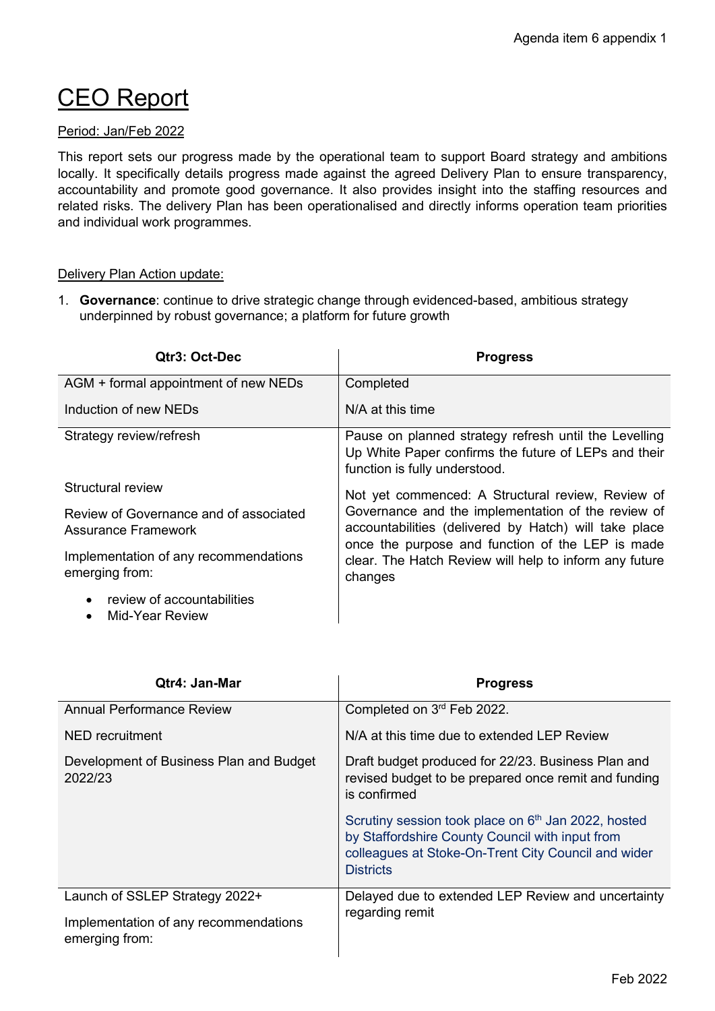# CEO Report

## Period: Jan/Feb 2022

This report sets our progress made by the operational team to support Board strategy and ambitions locally. It specifically details progress made against the agreed Delivery Plan to ensure transparency, accountability and promote good governance. It also provides insight into the staffing resources and related risks. The delivery Plan has been operationalised and directly informs operation team priorities and individual work programmes.

#### Delivery Plan Action update:

1. **Governance**: continue to drive strategic change through evidenced-based, ambitious strategy underpinned by robust governance; a platform for future growth

| Qtr3: Oct-Dec                                                        | <b>Progress</b>                                                                                                                                                 |
|----------------------------------------------------------------------|-----------------------------------------------------------------------------------------------------------------------------------------------------------------|
| AGM + formal appointment of new NEDs                                 | Completed                                                                                                                                                       |
| Induction of new NEDs                                                | N/A at this time                                                                                                                                                |
| Strategy review/refresh                                              | Pause on planned strategy refresh until the Levelling<br>Up White Paper confirms the future of LEPs and their<br>function is fully understood.                  |
| Structural review                                                    | Not yet commenced: A Structural review, Review of                                                                                                               |
| Review of Governance and of associated<br><b>Assurance Framework</b> | Governance and the implementation of the review of<br>accountabilities (delivered by Hatch) will take place<br>once the purpose and function of the LEP is made |
| Implementation of any recommendations<br>emerging from:              | clear. The Hatch Review will help to inform any future<br>changes                                                                                               |
| review of accountabilities<br>Mid-Year Review                        |                                                                                                                                                                 |

| Qtr4: Jan-Mar                                                                             | <b>Progress</b>                                                                                                                                                                               |
|-------------------------------------------------------------------------------------------|-----------------------------------------------------------------------------------------------------------------------------------------------------------------------------------------------|
| <b>Annual Performance Review</b>                                                          | Completed on 3rd Feb 2022.                                                                                                                                                                    |
| NED recruitment                                                                           | N/A at this time due to extended LEP Review                                                                                                                                                   |
| Development of Business Plan and Budget<br>2022/23                                        | Draft budget produced for 22/23. Business Plan and<br>revised budget to be prepared once remit and funding<br>is confirmed                                                                    |
|                                                                                           | Scrutiny session took place on 6 <sup>th</sup> Jan 2022, hosted<br>by Staffordshire County Council with input from<br>colleagues at Stoke-On-Trent City Council and wider<br><b>Districts</b> |
| Launch of SSLEP Strategy 2022+<br>Implementation of any recommendations<br>emerging from: | Delayed due to extended LEP Review and uncertainty<br>regarding remit                                                                                                                         |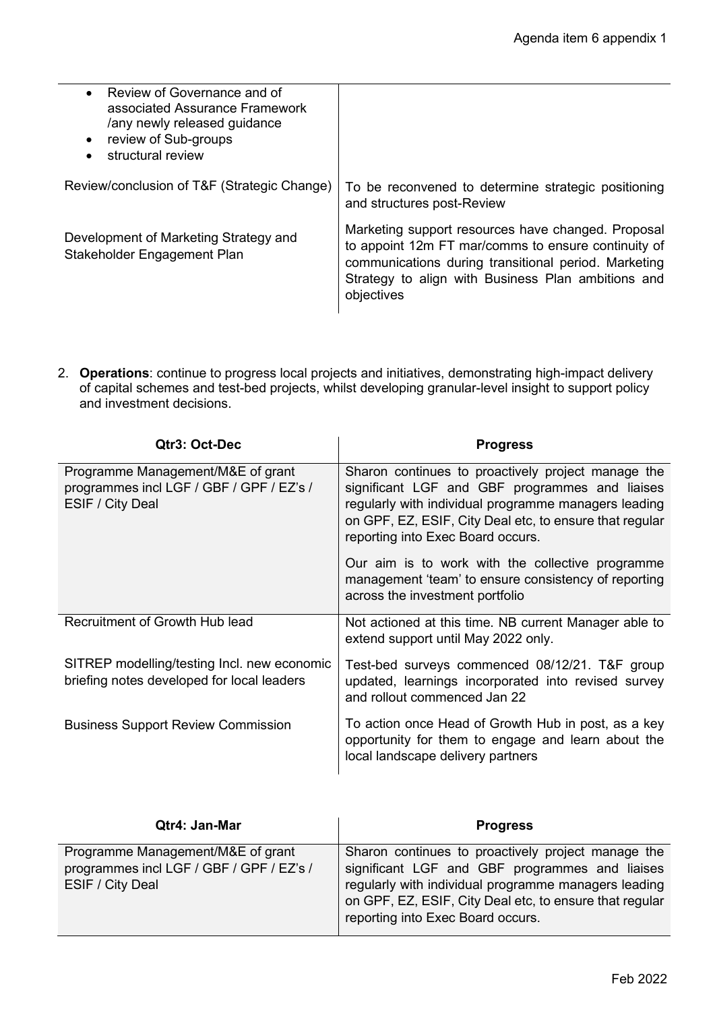| Review of Governance and of<br>associated Assurance Framework<br>/any newly released guidance<br>review of Sub-groups<br>structural review |                                                                                                                                                                                                                                       |
|--------------------------------------------------------------------------------------------------------------------------------------------|---------------------------------------------------------------------------------------------------------------------------------------------------------------------------------------------------------------------------------------|
| Review/conclusion of T&F (Strategic Change)                                                                                                | To be reconvened to determine strategic positioning<br>and structures post-Review                                                                                                                                                     |
| Development of Marketing Strategy and<br>Stakeholder Engagement Plan                                                                       | Marketing support resources have changed. Proposal<br>to appoint 12m FT mar/comms to ensure continuity of<br>communications during transitional period. Marketing<br>Strategy to align with Business Plan ambitions and<br>objectives |

2. **Operations**: continue to progress local projects and initiatives, demonstrating high-impact delivery of capital schemes and test-bed projects, whilst developing granular-level insight to support policy and investment decisions.

| Qtr3: Oct-Dec                                                                                     | <b>Progress</b>                                                                                                                                                                                                                                              |
|---------------------------------------------------------------------------------------------------|--------------------------------------------------------------------------------------------------------------------------------------------------------------------------------------------------------------------------------------------------------------|
| Programme Management/M&E of grant<br>programmes incl LGF / GBF / GPF / EZ's /<br>ESIF / City Deal | Sharon continues to proactively project manage the<br>significant LGF and GBF programmes and liaises<br>regularly with individual programme managers leading<br>on GPF, EZ, ESIF, City Deal etc, to ensure that regular<br>reporting into Exec Board occurs. |
|                                                                                                   | Our aim is to work with the collective programme<br>management 'team' to ensure consistency of reporting<br>across the investment portfolio                                                                                                                  |
| Recruitment of Growth Hub lead                                                                    | Not actioned at this time. NB current Manager able to<br>extend support until May 2022 only.                                                                                                                                                                 |
| SITREP modelling/testing Incl. new economic<br>briefing notes developed for local leaders         | Test-bed surveys commenced 08/12/21. T&F group<br>updated, learnings incorporated into revised survey<br>and rollout commenced Jan 22                                                                                                                        |
| <b>Business Support Review Commission</b>                                                         | To action once Head of Growth Hub in post, as a key<br>opportunity for them to engage and learn about the<br>local landscape delivery partners                                                                                                               |

| Qtr4: Jan-Mar                                                                                     | <b>Progress</b>                                                                                                                                                                                                                                              |
|---------------------------------------------------------------------------------------------------|--------------------------------------------------------------------------------------------------------------------------------------------------------------------------------------------------------------------------------------------------------------|
| Programme Management/M&E of grant<br>programmes incl LGF / GBF / GPF / EZ's /<br>ESIF / City Deal | Sharon continues to proactively project manage the<br>significant LGF and GBF programmes and liaises<br>regularly with individual programme managers leading<br>on GPF, EZ, ESIF, City Deal etc, to ensure that regular<br>reporting into Exec Board occurs. |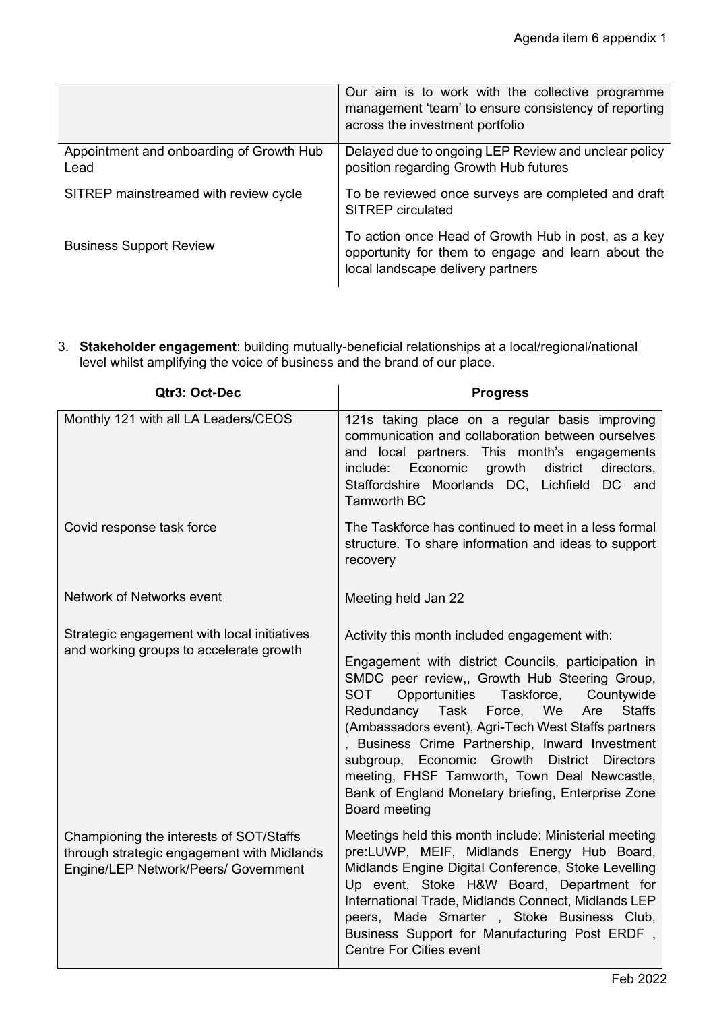|                                                  | Our aim is to work with the collective programme<br>management 'team' to ensure consistency of reporting<br>across the investment portfolio    |
|--------------------------------------------------|------------------------------------------------------------------------------------------------------------------------------------------------|
| Appointment and onboarding of Growth Hub<br>Lead | Delayed due to ongoing LEP Review and unclear policy<br>position regarding Growth Hub futures                                                  |
| SITREP mainstreamed with review cycle            | To be reviewed once surveys are completed and draft<br><b>SITREP</b> circulated                                                                |
| <b>Business Support Review</b>                   | To action once Head of Growth Hub in post, as a key<br>opportunity for them to engage and learn about the<br>local landscape delivery partners |

3. **Stakeholder engagement**: building mutually-beneficial relationships at a local/regional/national level whilst amplifying the voice of business and the brand of our place.

| Qtr3: Oct-Dec                                                                                                                 | <b>Progress</b>                                                                                                                                                                                                                                                                                                                                                                                                                                                                                                                                     |
|-------------------------------------------------------------------------------------------------------------------------------|-----------------------------------------------------------------------------------------------------------------------------------------------------------------------------------------------------------------------------------------------------------------------------------------------------------------------------------------------------------------------------------------------------------------------------------------------------------------------------------------------------------------------------------------------------|
| Monthly 121 with all LA Leaders/CEOS                                                                                          | 121s taking place on a regular basis improving<br>communication and collaboration between ourselves<br>and local partners. This month's engagements<br>Economic<br>include:<br>growth<br>district<br>directors,<br>Staffordshire Moorlands DC, Lichfield DC and<br><b>Tamworth BC</b>                                                                                                                                                                                                                                                               |
| Covid response task force                                                                                                     | The Taskforce has continued to meet in a less formal<br>structure. To share information and ideas to support<br>recovery                                                                                                                                                                                                                                                                                                                                                                                                                            |
| Network of Networks event                                                                                                     | Meeting held Jan 22                                                                                                                                                                                                                                                                                                                                                                                                                                                                                                                                 |
| Strategic engagement with local initiatives<br>and working groups to accelerate growth                                        | Activity this month included engagement with:<br>Engagement with district Councils, participation in<br>SMDC peer review,, Growth Hub Steering Group,<br>Opportunities Taskforce, Countywide<br><b>SOT</b><br>Redundancy Task<br>Force, We<br>Are<br><b>Staffs</b><br>(Ambassadors event), Agri-Tech West Staffs partners<br>, Business Crime Partnership, Inward Investment<br>subgroup, Economic Growth District Directors<br>meeting, FHSF Tamworth, Town Deal Newcastle,<br>Bank of England Monetary briefing, Enterprise Zone<br>Board meeting |
| Championing the interests of SOT/Staffs<br>through strategic engagement with Midlands<br>Engine/LEP Network/Peers/ Government | Meetings held this month include: Ministerial meeting<br>pre:LUWP, MEIF, Midlands Energy Hub Board,<br>Midlands Engine Digital Conference, Stoke Levelling<br>Up event, Stoke H&W Board, Department for<br>International Trade, Midlands Connect, Midlands LEP<br>peers, Made Smarter, Stoke Business Club,<br>Business Support for Manufacturing Post ERDF,<br><b>Centre For Cities event</b>                                                                                                                                                      |